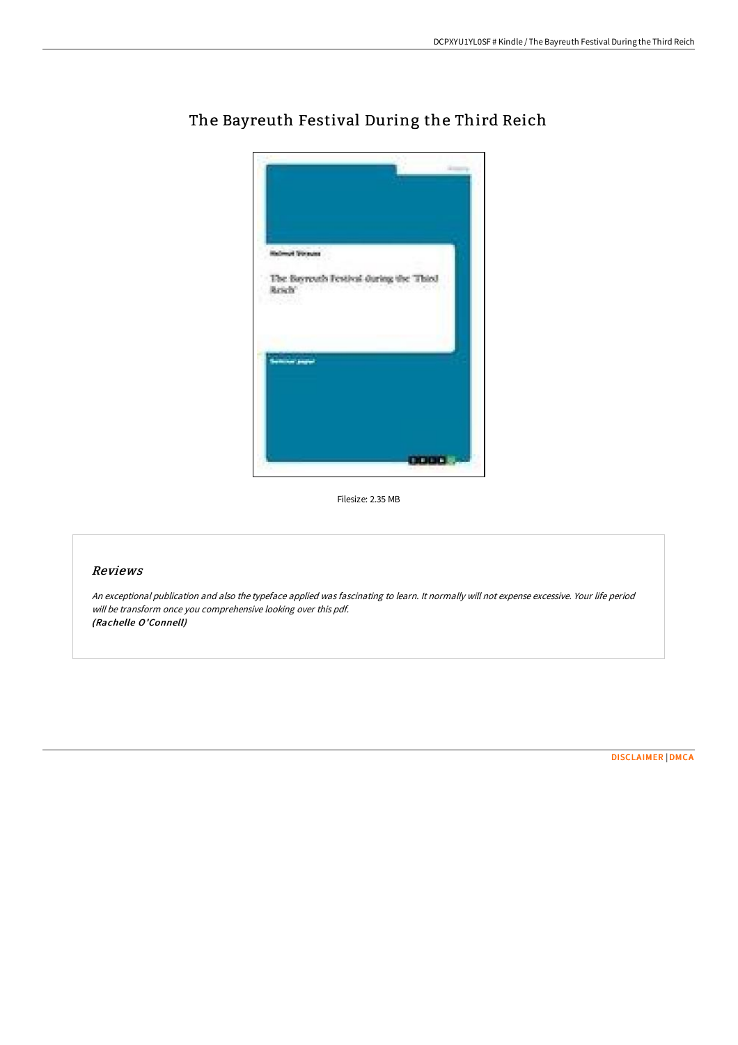

## The Bayreuth Festival During the Third Reich

Filesize: 2.35 MB

## Reviews

An exceptional publication and also the typeface applied was fascinating to learn. It normally will not expense excessive. Your life period will be transform once you comprehensive looking over this pdf. (Rachelle O'Connell)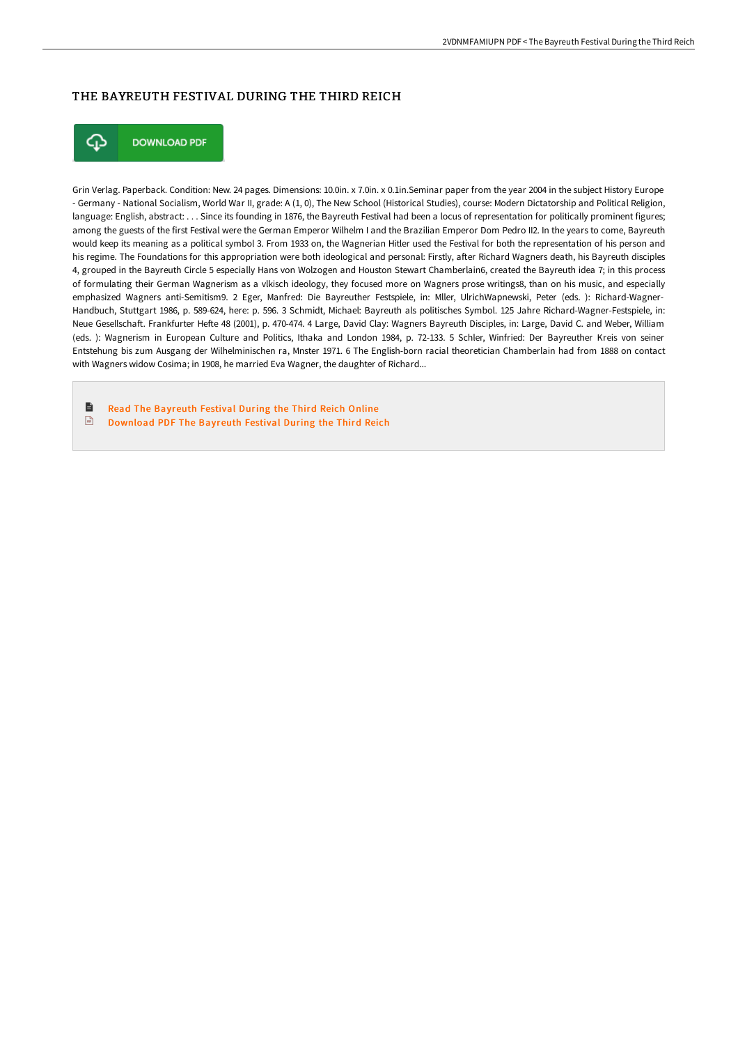## THE BAYREUTH FESTIVAL DURING THE THIRD REICH



**DOWNLOAD PDF** 

Grin Verlag. Paperback. Condition: New. 24 pages. Dimensions: 10.0in. x 7.0in. x 0.1in.Seminar paper from the year 2004 in the subject History Europe - Germany - National Socialism, World War II, grade: A (1, 0), The New School (Historical Studies), course: Modern Dictatorship and Political Religion, language: English, abstract: . . . Since its founding in 1876, the Bayreuth Festival had been a locus of representation for politically prominent figures; among the guests of the first Festival were the German Emperor Wilhelm I and the Brazilian Emperor Dom Pedro II2. In the years to come, Bayreuth would keep its meaning as a political symbol 3. From 1933 on, the Wagnerian Hitler used the Festival for both the representation of his person and his regime. The Foundations for this appropriation were both ideological and personal: Firstly, after Richard Wagners death, his Bayreuth disciples 4, grouped in the Bayreuth Circle 5 especially Hans von Wolzogen and Houston Stewart Chamberlain6, created the Bayreuth idea 7; in this process of formulating their German Wagnerism as a vlkisch ideology, they focused more on Wagners prose writings8, than on his music, and especially emphasized Wagners anti-Semitism9. 2 Eger, Manfred: Die Bayreuther Festspiele, in: Mller, UlrichWapnewski, Peter (eds. ): Richard-Wagner-Handbuch, Stuttgart 1986, p. 589-624, here: p. 596. 3 Schmidt, Michael: Bayreuth als politisches Symbol. 125 Jahre Richard-Wagner-Festspiele, in: Neue Gesellschaft. Frankfurter Hefte 48 (2001), p. 470-474. 4 Large, David Clay: Wagners Bayreuth Disciples, in: Large, David C. and Weber, William (eds. ): Wagnerism in European Culture and Politics, Ithaka and London 1984, p. 72-133. 5 Schler, Winfried: Der Bayreuther Kreis von seiner Entstehung bis zum Ausgang der Wilhelminischen ra, Mnster 1971. 6 The English-born racial theoretician Chamberlain had from 1888 on contact with Wagners widow Cosima; in 1908, he married Eva Wagner, the daughter of Richard...

B Read The [Bayreuth](http://techno-pub.tech/the-bayreuth-festival-during-the-third-reich.html) Festival During the Third Reich Online  $\sqrt{m}$ [Download](http://techno-pub.tech/the-bayreuth-festival-during-the-third-reich.html) PDF The Bayreuth Festival During the Third Reich